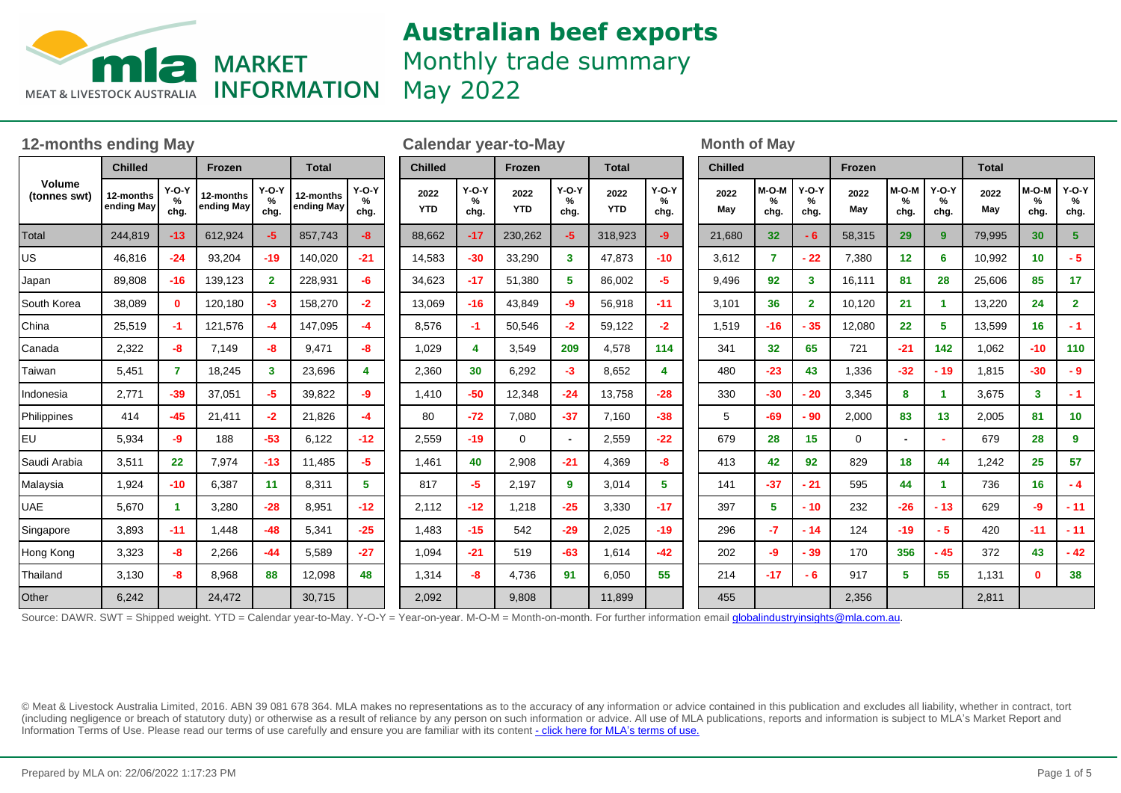

Monthly trade summary

May 2022

| <b>12-months ending May</b> |                         |                 |                         |                         |                         |                      |                    | <b>Calendar year-to-May</b> |                    |                         |                    |                      |  | <b>Month of May</b> |                                |                      |             |                    |                      |              |                    |                      |  |
|-----------------------------|-------------------------|-----------------|-------------------------|-------------------------|-------------------------|----------------------|--------------------|-----------------------------|--------------------|-------------------------|--------------------|----------------------|--|---------------------|--------------------------------|----------------------|-------------|--------------------|----------------------|--------------|--------------------|----------------------|--|
| Volume<br>(tonnes swt)      | <b>Chilled</b>          |                 | Frozen                  |                         | <b>Total</b>            |                      | <b>Chilled</b>     |                             | Frozen             |                         | <b>Total</b>       |                      |  | <b>Chilled</b>      |                                |                      | Frozen      |                    |                      | <b>Total</b> |                    |                      |  |
|                             | 12-months<br>ending May | $Y-O-Y$<br>chg. | 12-months<br>ending May | $Y-O-Y$<br>%<br>chg.    | 12-months<br>ending May | $Y-O-Y$<br>%<br>chg. | 2022<br><b>YTD</b> | $Y-O-Y$<br>%<br>chg.        | 2022<br><b>YTD</b> | $Y-O-Y$<br>%<br>chg.    | 2022<br><b>YTD</b> | $Y-O-Y$<br>%<br>chg. |  | 2022<br>May         | M-O-M<br>$\frac{9}{6}$<br>chg. | $Y-O-Y$<br>%<br>chg. | 2022<br>May | M-O-M<br>%<br>chg. | $Y-O-Y$<br>℅<br>chg. | 2022<br>May  | M-O-M<br>%<br>chg. | $Y-O-Y$<br>%<br>chg. |  |
| Total                       | 244,819                 | $-13$           | 612,924                 | -5                      | 857,743                 | $-8$                 | 88,662             | $-17$                       | 230,262            | $-5$                    | 318,923            | -9                   |  | 21,680              | 32                             | $-6$                 | 58,315      | 29                 | 9                    | 79,995       | 30                 | 5 <sup>5</sup>       |  |
| US                          | 46,816                  | $-24$           | 93,204                  | $-19$                   | 140,020                 | $-21$                | 14,583             | $-30$                       | 33,290             | $\overline{\mathbf{3}}$ | 47,873             | $-10$                |  | 3,612               | $\overline{7}$                 | $-22$                | 7,380       | 12                 | 6                    | 10,992       | 10 <sub>1</sub>    | $-5$                 |  |
| Japan                       | 89,808                  | $-16$           | 139,123                 | $\overline{\mathbf{2}}$ | 228,931                 | -6                   | 34,623             | $-17$                       | 51,380             | 5                       | 86,002             | -5.                  |  | 9,496               | 92                             | $3^{\circ}$          | 16,111      | 81                 | 28                   | 25,606       | 85                 | 17                   |  |
| South Korea                 | 38,089                  | $\mathbf{0}$    | 120,180                 | -3                      | 158,270                 | $-2$                 | 13,069             | $-16$                       | 43,849             | -9                      | 56,918             | $-11$                |  | 3,101               | 36                             | $\mathbf{2}$         | 10,120      | 21                 | 1                    | 13,220       | 24                 | $\mathbf{2}$         |  |
| China                       | 25,519                  | $-1$            | 121,576                 | $-4$                    | 147,095                 | -4                   | 8,576              | $-1$                        | 50,546             | $-2$                    | 59,122             | $-2$                 |  | 1,519               | $-16$                          | $-35$                | 12,080      | 22                 | 5                    | 13,599       | 16 <sup>1</sup>    | $-1$                 |  |
| Canada                      | 2,322                   | -8              | 7,149                   | -8                      | 9,471                   | -8                   | 1,029              | Δ                           | 3,549              | 209                     | 4,578              | 114                  |  | 341                 | 32                             | 65                   | 721         | $-21$              | 142                  | 1,062        | $-10$              | 110                  |  |
| Taiwan                      | 5,451                   | $\overline{7}$  | 18,245                  | 3                       | 23,696                  | $\overline{4}$       | 2,360              | 30                          | 6,292              | $-3$                    | 8,652              | 4                    |  | 480                 | $-23$                          | 43                   | 1,336       | $-32$              | $-19$                | 1,815        | $-30$              | $-9$                 |  |
| Indonesia                   | 2,771                   | $-39$           | 37,051                  | -5                      | 39,822                  | -9                   | 1,410              | $-50$                       | 12,348             | $-24$                   | 13,758             | $-28$                |  | 330                 | $-30$                          | - 20                 | 3,345       | 8                  | 1                    | 3,675        | $\mathbf{3}$       | $-1$                 |  |
| Philippines                 | 414                     | $-45$           | 21,411                  | $-2$                    | 21,826                  | $-4$                 | 80                 | $-72$                       | 7,080              | $-37$                   | 7,160              | $-38$                |  | 5                   | $-69$                          | - 90                 | 2,000       | 83                 | 13                   | 2,005        | 81                 | 10                   |  |
| <b>EU</b>                   | 5,934                   | -9              | 188                     | $-53$                   | 6,122                   | $-12$                | 2,559              | $-19$                       | $\Omega$           | $\sim$                  | 2,559              | $-22$                |  | 679                 | 28                             | 15                   | $\mathbf 0$ |                    |                      | 679          | 28                 | 9                    |  |
| Saudi Arabia                | 3,511                   | 22              | 7,974                   | $-13$                   | 11,485                  | -5                   | 1,461              | 40                          | 2,908              | $-21$                   | 4,369              | -8                   |  | 413                 | 42                             | 92                   | 829         | 18                 | 44                   | 1,242        | 25                 | 57                   |  |
| Malaysia                    | 1,924                   | $-10$           | 6,387                   | 11                      | 8,311                   | 5 <sup>1</sup>       | 817                | -5                          | 2,197              | 9                       | 3,014              | 5.                   |  | 141                 | $-37$                          | $-21$                | 595         | 44                 | 1                    | 736          | 16 <sup>2</sup>    | $-4$                 |  |
| <b>UAE</b>                  | 5,670                   |                 | 3,280                   | $-28$                   | 8,951                   | $-12$                | 2,112              | $-12$                       | 1,218              | $-25$                   | 3,330              | $-17$                |  | 397                 | 5                              | $-10$                | 232         | $-26$              | $-13$                | 629          | -9                 | $-11$                |  |
| Singapore                   | 3.893                   | $-11$           | 1.448                   | $-48$                   | 5,341                   | $-25$                | 1,483              | $-15$                       | 542                | $-29$                   | 2,025              | $-19$                |  | 296                 | $-7$                           | $-14$                | 124         | $-19$              | $-5$                 | 420          | $-11$              | $-11$                |  |
| Hong Kong                   | 3,323                   | -8              | 2,266                   | $-44$                   | 5,589                   | $-27$                | 1,094              | $-21$                       | 519                | $-63$                   | 1,614              | $-42$                |  | 202                 | $-9$                           | $-39$                | 170         | 356                | $-45$                | 372          | 43                 | $-42$                |  |
| Thailand                    | 3,130                   | -8              | 8,968                   | 88                      | 12,098                  | 48                   | 1,314              | -8                          | 4,736              | 91                      | 6,050              | 55                   |  | 214                 | $-17$                          | $-6$                 | 917         | 5                  | 55                   | 1,131        | $\mathbf{0}$       | 38                   |  |
| Other                       | 6,242                   |                 | 24,472                  |                         | 30,715                  |                      | 2,092              |                             | 9,808              |                         | 11,899             |                      |  | 455                 |                                |                      | 2,356       |                    |                      | 2,811        |                    |                      |  |

Source: DAWR. SWT = Shipped weight. YTD = Calendar year-to-May. Y-O-Y = Year-on-year. M-O-M = Month-on-month. For further information email **globalindustryinsights@mla.com.au**.

© Meat & Livestock Australia Limited, 2016. ABN 39 081 678 364. MLA makes no representations as to the accuracy of any information or advice contained in this publication and excludes all liability, whether in contract, tort (including negligence or breach of statutory duty) or otherwise as a result of reliance by any person on such information or advice. All use of MLA publications, reports and information is subject to MLA¶s Market Report and Information Terms of Use. Please read our terms of use carefully and ensure you are familiar with its content [- click here for MLA](http://www.mla.com.au/files/edae0364-a185-4a6f-9dff-a42700d1463a/MLA-Market-Report-and-Information-Terms-of-use-Dec-2014.pdf)'[s terms of use.](http://www.mla.com.au/files/edae0364-a185-4a6f-9dff-a42700d1463a/MLA-Market-Report-and-Information-Terms-of-use-Dec-2014.pdf)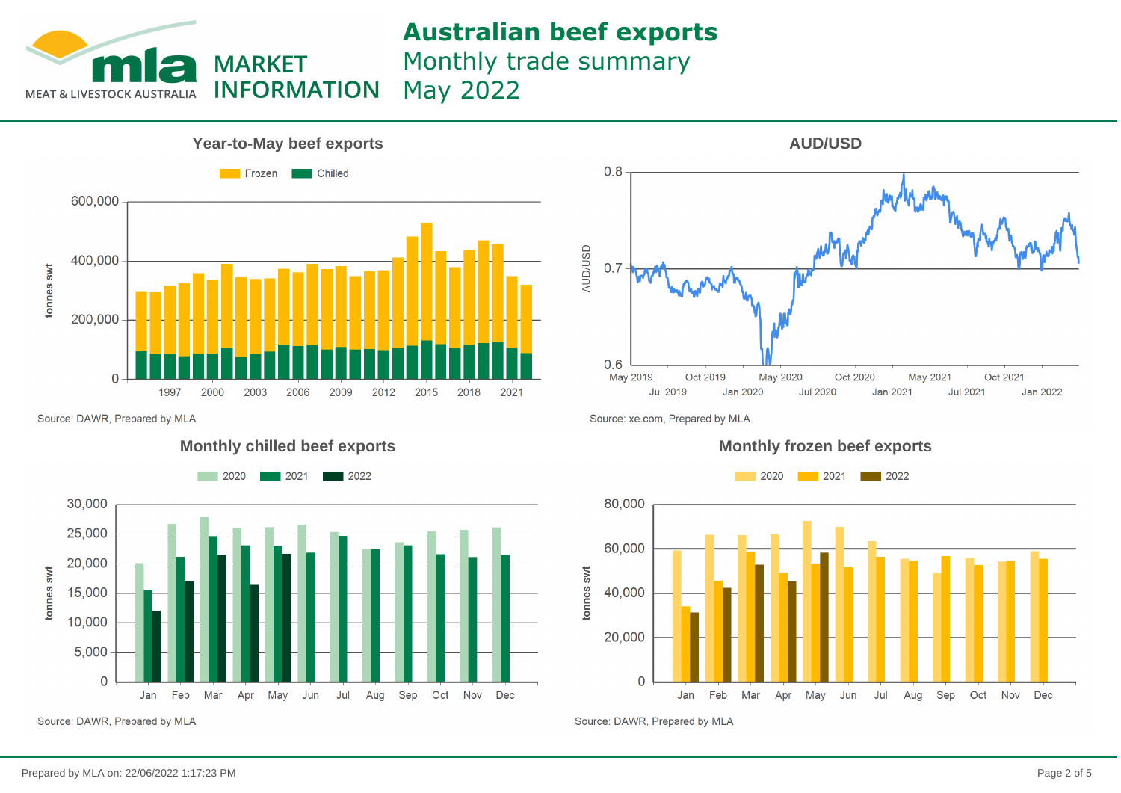

Monthly trade summary

**INFORMATION** May 2022



Source: DAWR, Prepared by MLA







Source: xe.com, Prepared by MLA



Source: DAWR, Prepared by MLA

tonnes swt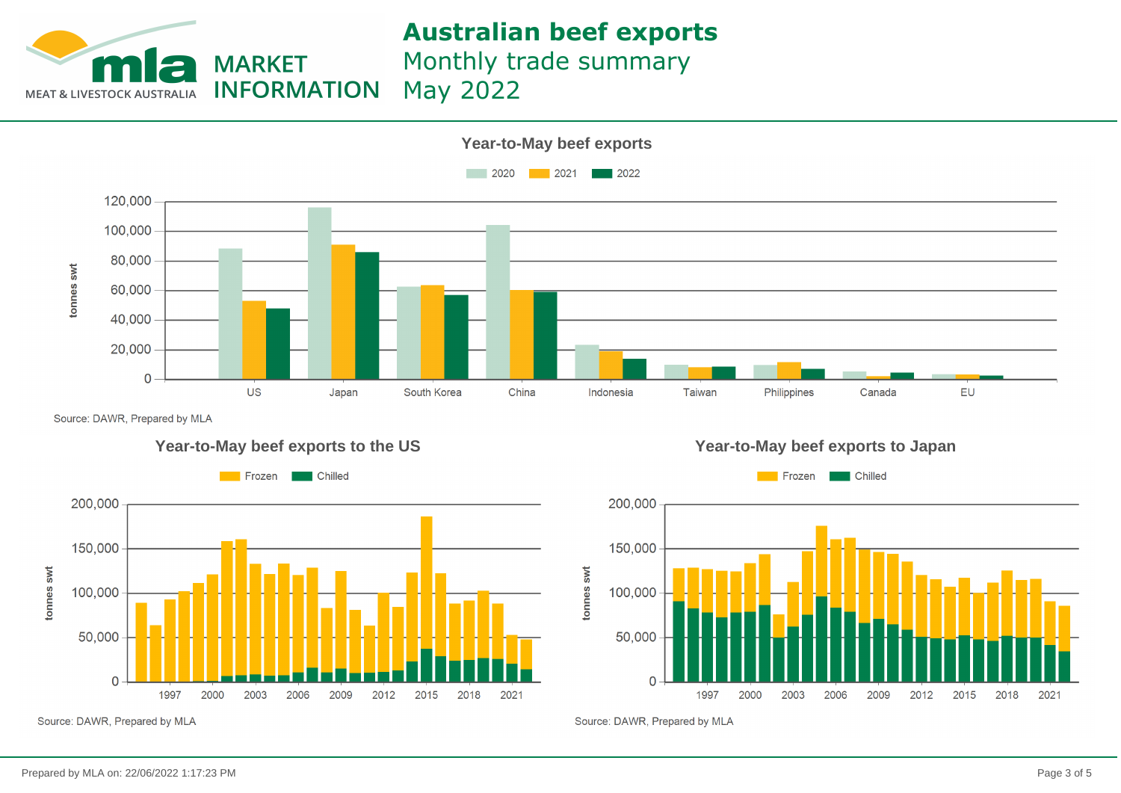

Monthly trade summary

May 2022



Source: DAWR, Prepared by MLA







Source: DAWR, Prepared by MLA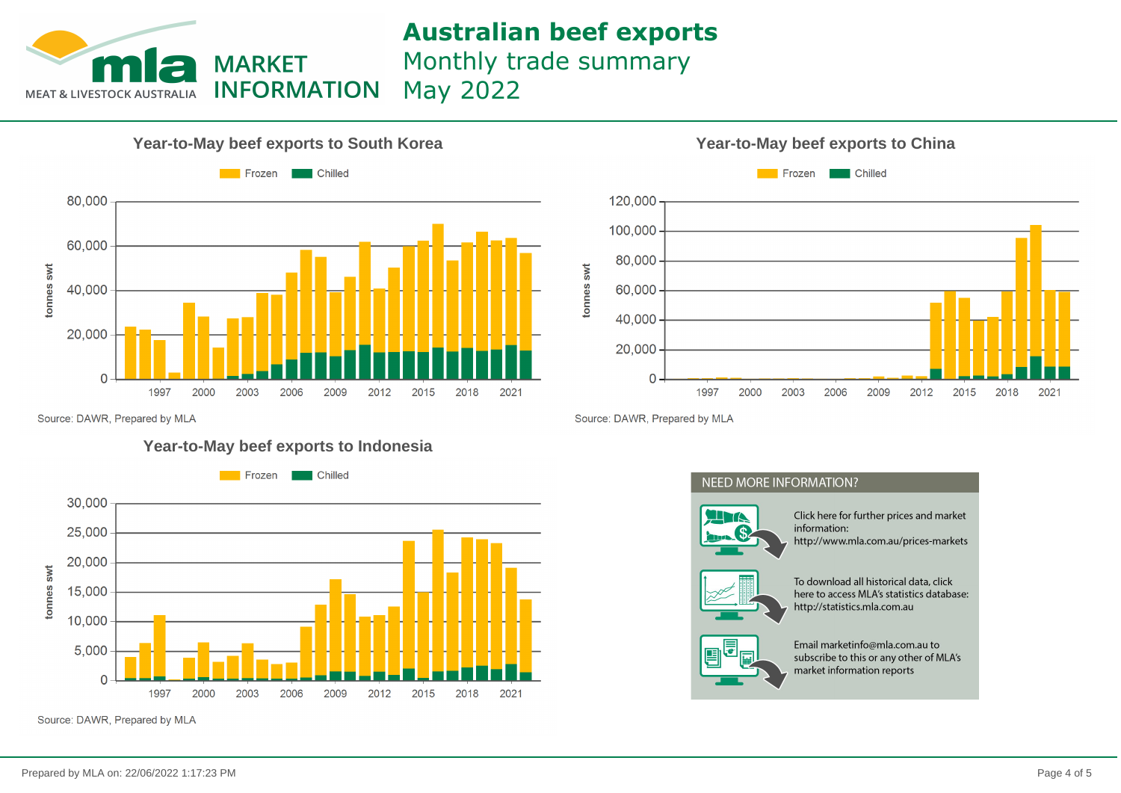

Monthly trade summary

May 2022



#### **Year-to-May beef exports to South Korea Year-to-May beef exports to China**



Source: DAWR, Prepared by MLA

#### **Year-to-May beef exports to Indonesia**



Source: DAWR, Prepared by MLA

Source: DAWR, Prepared by MLA

### **NEED MORE INFORMATION?**



Click here for further prices and market information: http://www.mla.com.au/prices-markets



To download all historical data, click here to access MLA's statistics database: http://statistics.mla.com.au



Email marketinfo@mla.com.au to subscribe to this or any other of MLA's market information reports

# tonnes swt